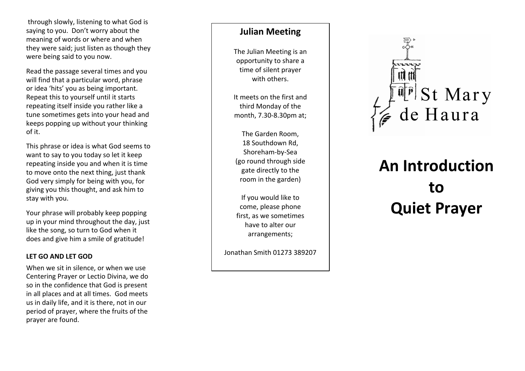through slowly , listening to what God is saying to you. Don't worry about the meaning of words or where and when they were said ; just listen as though they were being said to you now .

Read the passage several times and you will find that a particular word , phrase or idea 'hits ' you as being important. Repeat this to yourself until it starts repeating itself inside you rather like a tune sometimes gets into your head and keeps popping up without your thinking of it.<br>This phrase or idea is what God seems to

want to say to you today so let it keep repeating inside you and when it is time to move onto the next thing , just thank God very simply for being with you , for giving you this thought , and ask him to stay with you .

Your phrase will probably keep popping up in your mind throughout the day , just like the song, so turn to God when it does and give him a smile of gratitude!

# **LET GO AND LET GOD**

When we sit in silence, or when we use Centering Prayer or Lect io Divina, we do so in the confidence that God is present in all places and at all times. God meets us in daily life, and it is there, not in our period of prayer, where the fruits of the prayer are found.

# **Julian Meeting**

The Julian Meeting is an opportunity to share a time of silent prayer with others.

It meets on the first and third Monday of the month, 7.30 -8.30pm at;

The Garden Room, 18 Southdown Rd, Shoreham -by -Sea (go round through side gate directly to the room in the garden)

If you would like to come, please phone first, as we sometimes have to alter our arrangements;

Jonathan Smith 01273 389207



# **An Introduction to Quiet Prayer**